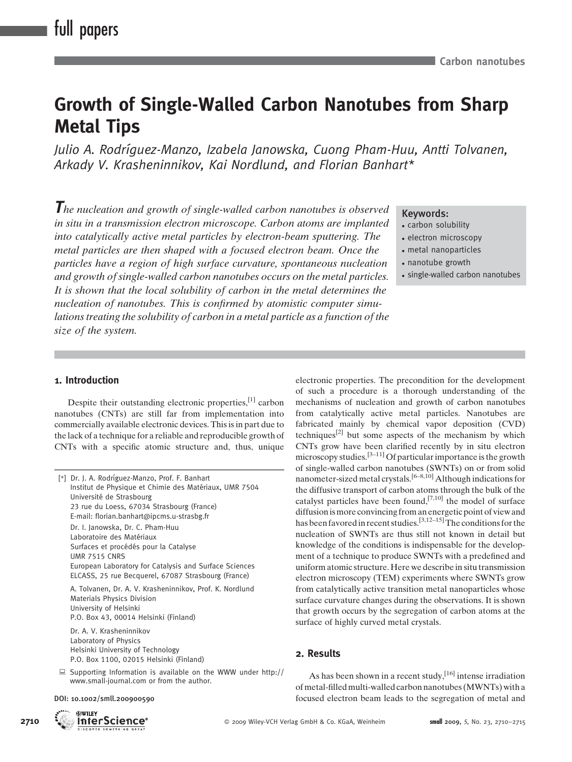# Growth of Single-Walled Carbon Nanotubes from Sharp Metal Tips

Julio A. Rodríguez-Manzo, Izabela Janowska, Cuong Pham-Huu, Antti Tolvanen, Arkady V. Krasheninnikov, Kai Nordlund, and Florian Banhart\*

**The nucleation and growth of single-walled carbon nanotubes is observed** in situ in a transmission electron microscope. Carbon atoms are implanted into catalytically active metal particles by electron-beam sputtering. The metal particles are then shaped with a focused electron beam. Once the particles have a region of high surface curvature, spontaneous nucleation and growth of single-walled carbon nanotubes occurs on the metal particles. It is shown that the local solubility of carbon in the metal determines the nucleation of nanotubes. This is confirmed by atomistic computer simulations treating the solubility of carbon in a metal particle as a function of the size of the system.

### Keywords:

electronic properties. The precondition for the development of such a procedure is a thorough understanding of the mechanisms of nucleation and growth of carbon nanotubes from catalytically active metal particles. Nanotubes are fabricated mainly by chemical vapor deposition (CVD) techniques[2] but some aspects of the mechanism by which CNTs grow have been clarified recently by in situ electron microscopy studies.<sup>[3–11]</sup> Of particular importance is the growth of single-walled carbon nanotubes (SWNTs) on or from solid nanometer-sized metal crystals.[6–8,10] Although indications for the diffusive transport of carbon atoms through the bulk of the catalyst particles have been found,<sup>[7,10]</sup> the model of surface diffusion is more convincing from an energetic point of view and has been favored in recent studies.<sup>[3,12–15]</sup>The conditions for the nucleation of SWNTs are thus still not known in detail but knowledge of the conditions is indispensable for the development of a technique to produce SWNTs with a predefined and uniform atomic structure. Here we describe in situ transmission electron microscopy (TEM) experiments where SWNTs grow from catalytically active transition metal nanoparticles whose surface curvature changes during the observations. It is shown that growth occurs by the segregation of carbon atoms at the

- carbon solubility
- electron microscopy
- metal nanoparticles
- nanotube growth
- single-walled carbon nanotubes

# 1. Introduction

Despite their outstanding electronic properties, $[1]$  carbon nanotubes (CNTs) are still far from implementation into commercially available electronic devices. This is in part due to the lack of a technique for a reliable and reproducible growth of CNTs with a specific atomic structure and, thus, unique

[\*] Dr. J. A. Rodríguez-Manzo, Prof. F. Banhart Institut de Physique et Chimie des Matériaux, UMR 7504 Université de Strasbourg 23 rue du Loess, 67034 Strasbourg (France) E-mail: florian.banhart@ipcms.u-strasbg.fr Dr. I. Janowska, Dr. C. Pham-Huu Laboratoire des Matériaux Surfaces et procédés pour la Catalyse UMR 7515 CNRS European Laboratory for Catalysis and Surface Sciences ELCASS, 25 rue Becquerel, 67087 Strasbourg (France) A. Tolvanen, Dr. A. V. Krasheninnikov, Prof. K. Nordlund

Materials Physics Division University of Helsinki P.O. Box 43, 00014 Helsinki (Finland)

Dr. A. V. Krasheninnikov Laboratory of Physics Helsinki University of Technology P.O. Box 1100, 02015 Helsinki (Finland)

*:* Supporting Information is available on the WWW under http:// www.small-journal.com or from the author.

DOI: 10.1002/smll.200900590

**GOWILEY** 

2710 **2009 2710 CITY COMPTS AND REPARTMENT OF A STATE OF A STATE OF STATE STATE OF STATE STATE STATE OF STATE ST** 

2. Results

surface of highly curved metal crystals.

As has been shown in a recent study,  $[16]$  intense irradiation of metal-filledmulti-walled carbon nanotubes (MWNTs) with a focused electron beam leads to the segregation of metal and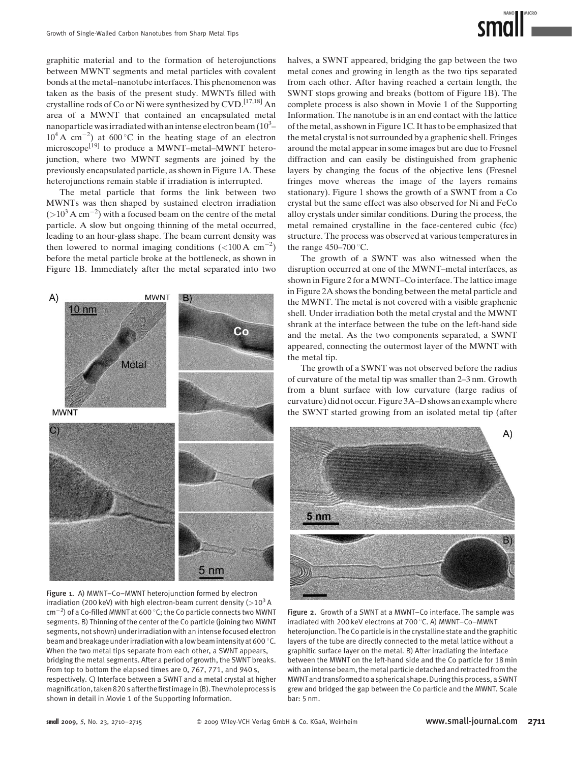

graphitic material and to the formation of heterojunctions between MWNT segments and metal particles with covalent bonds at the metal–nanotube interfaces. This phenomenon was taken as the basis of the present study. MWNTs filled with crystalline rods of Co or Ni were synthesized by CVD.[17,18] An area of a MWNT that contained an encapsulated metal nanoparticle was irradiated with an intense electron beam ( $10^3$ –  $10^4$  A cm<sup>-2</sup>) at 600 °C in the heating stage of an electron microscope<sup>[19]</sup> to produce a MWNT-metal-MWNT heterojunction, where two MWNT segments are joined by the previously encapsulated particle, as shown in Figure 1A. These heterojunctions remain stable if irradiation is interrupted.

The metal particle that forms the link between two MWNTs was then shaped by sustained electron irradiation  $(>10^3 A \text{ cm}^{-2})$  with a focused beam on the centre of the metal particle. A slow but ongoing thinning of the metal occurred, leading to an hour-glass shape. The beam current density was then lowered to normal imaging conditions  $(<100 \text{ A cm}^{-2})$ before the metal particle broke at the bottleneck, as shown in Figure 1B. Immediately after the metal separated into two



Figure 1. A) MWNT–Co–MWNT heterojunction formed by electron irradiation (200 keV) with high electron-beam current density ( $>10^3$  A  $\rm cm^{-2}$ ) of a Co-filled MWNT at 600 °C; the Co particle connects two MWNT segments. B) Thinning of the center of the Co particle (joining two MWNT segments, not shown) under irradiation with an intense focused electron beam and breakage under irradiation with a low beam intensity at 600 °C. When the two metal tips separate from each other, a SWNT appears, bridging the metal segments. After a period of growth, the SWNT breaks. From top to bottom the elapsed times are 0, 767, 771, and 940 s, respectively. C) Interface between a SWNT and a metal crystal at higher magnification, taken820 s after thefirstimagein (B).Thewholeprocessis shown in detail in Movie 1 of the Supporting Information.

halves, a SWNT appeared, bridging the gap between the two metal cones and growing in length as the two tips separated from each other. After having reached a certain length, the SWNT stops growing and breaks (bottom of Figure 1B). The complete process is also shown in Movie 1 of the Supporting Information. The nanotube is in an end contact with the lattice of the metal, as shown in Figure 1C. It has to be emphasized that the metal crystal is not surrounded by a graphenic shell. Fringes around the metal appear in some images but are due to Fresnel diffraction and can easily be distinguished from graphenic layers by changing the focus of the objective lens (Fresnel fringes move whereas the image of the layers remains stationary). Figure 1 shows the growth of a SWNT from a Co crystal but the same effect was also observed for Ni and FeCo alloy crystals under similar conditions. During the process, the metal remained crystalline in the face-centered cubic (fcc) structure. The process was observed at various temperatures in the range  $450-700$  °C.

The growth of a SWNT was also witnessed when the disruption occurred at one of the MWNT–metal interfaces, as shown in Figure 2 for a MWNT–Co interface. The lattice image in Figure 2A shows the bonding between the metal particle and the MWNT. The metal is not covered with a visible graphenic shell. Under irradiation both the metal crystal and the MWNT shrank at the interface between the tube on the left-hand side and the metal. As the two components separated, a SWNT appeared, connecting the outermost layer of the MWNT with the metal tip.

The growth of a SWNT was not observed before the radius of curvature of the metal tip was smaller than 2–3 nm. Growth from a blunt surface with low curvature (large radius of curvature) did not occur. Figure 3A–D shows an example where the SWNT started growing from an isolated metal tip (after



Figure 2. Growth of a SWNT at a MWNT–Co interface. The sample was irradiated with 200 keV electrons at 700 °C. A) MWNT-Co-MWNT heterojunction. The Co particle is in the crystalline state and the graphitic layers of the tube are directly connected to the metal lattice without a graphitic surface layer on the metal. B) After irradiating the interface between the MWNT on the left-hand side and the Co particle for 18 min with an intense beam, the metal particle detached and retracted from the MWNT and transformed to a spherical shape.During this process, a SWNT grew and bridged the gap between the Co particle and the MWNT. Scale bar: 5 nm.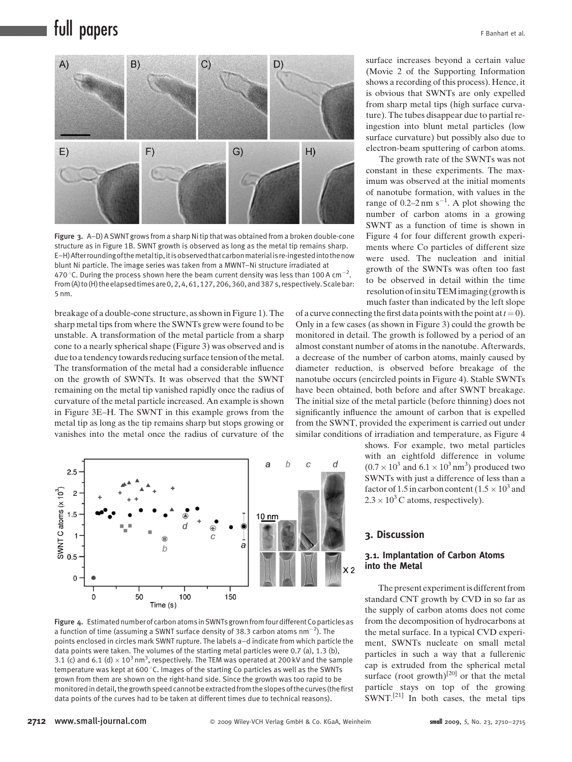

Figure 3. A–D) A SWNT grows from a sharp Ni tip that was obtained from a broken double-cone structure as in Figure 1B. SWNT growth is observed as long as the metal tip remains sharp.  $E-H$ ) After rounding of the metal tip, it is observed that carbon material is re-ingested into the now blunt Ni particle. The image series was taken from a MWNT–Ni structure irradiated at 470 °C. During the process shown here the beam current density was less than 100 A cm $^{-2}$ . From (A) to (H) the elapsed times are 0, 2, 4, 61, 127, 206, 360, and 387 s, respectively. Scale bar: 5 nm.

breakage of a double-cone structure, as shown in Figure 1). The sharp metal tips from where the SWNTs grew were found to be unstable. A transformation of the metal particle from a sharp cone to a nearly spherical shape (Figure 3) was observed and is due to a tendency towards reducing surface tension of themetal. The transformation of the metal had a considerable influence on the growth of SWNTs. It was observed that the SWNT remaining on the metal tip vanished rapidly once the radius of curvature of the metal particle increased. An example is shown in Figure 3E–H. The SWNT in this example grows from the metal tip as long as the tip remains sharp but stops growing or vanishes into the metal once the radius of curvature of the



Figure 4. Estimated number of carbon atoms in SWNTs grown from four different Co particles as a function of time (assuming a SWNT surface density of 38.3 carbon atoms nm $^{-2}$ ). The points enclosed in circles mark SWNT rupture. The labels a–d indicate from which particle the data points were taken. The volumes of the starting metal particles were 0.7 (a), 1.3 (b), 3.1 (c) and 6.1 (d)  $\times$  10<sup>3</sup> nm<sup>3</sup>, respectively. The TEM was operated at 200 kV and the sample temperature was kept at 600 °C. Images of the starting Co particles as well as the SWNTs grown from them are shown on the right-hand side. Since the growth was too rapid to be monitoredin detail, the growth speed cannot be extractedfrom the slopes of the curves (the first data points of the curves had to be taken at different times due to technical reasons).

surface increases beyond a certain value (Movie 2 of the Supporting Information shows a recording of this process). Hence, it is obvious that SWNTs are only expelled from sharp metal tips (high surface curvature). The tubes disappear due to partial reingestion into blunt metal particles (low surface curvature) but possibly also due to electron-beam sputtering of carbon atoms.

The growth rate of the SWNTs was not constant in these experiments. The maximum was observed at the initial moments of nanotube formation, with values in the range of 0.2–2 nm  $s^{-1}$ . A plot showing the number of carbon atoms in a growing SWNT as a function of time is shown in Figure 4 for four different growth experiments where Co particles of different size were used. The nucleation and initial growth of the SWNTs was often too fast to be observed in detail within the time resolution of in situ TEM imaging (growth is much faster than indicated by the left slope

of a curve connecting the first data points with the point at  $t = 0$ ). Only in a few cases (as shown in Figure 3) could the growth be monitored in detail. The growth is followed by a period of an almost constant number of atoms in the nanotube. Afterwards, a decrease of the number of carbon atoms, mainly caused by diameter reduction, is observed before breakage of the nanotube occurs (encircled points in Figure 4). Stable SWNTs have been obtained, both before and after SWNT breakage. The initial size of the metal particle (before thinning) does not significantly influence the amount of carbon that is expelled from the SWNT, provided the experiment is carried out under similar conditions of irradiation and temperature, as Figure 4

shows. For example, two metal particles with an eightfold difference in volume  $(0.7 \times 10^3 \text{ and } 6.1 \times 10^3 \text{ nm}^3)$  produced two SWNTs with just a difference of less than a factor of 1.5 in carbon content  $(1.5 \times 10^3$  and  $2.3 \times 10^3$  C atoms, respectively).

# 3. Discussion

### 3.1. Implantation of Carbon Atoms into the Metal

The present experimentis different from standard CNT growth by CVD in so far as the supply of carbon atoms does not come from the decomposition of hydrocarbons at the metal surface. In a typical CVD experiment, SWNTs nucleate on small metal particles in such a way that a fullerenic cap is extruded from the spherical metal surface (root growth)<sup>[20]</sup> or that the metal particle stays on top of the growing  $SWNT<sup>[21]</sup>$  In both cases, the metal tips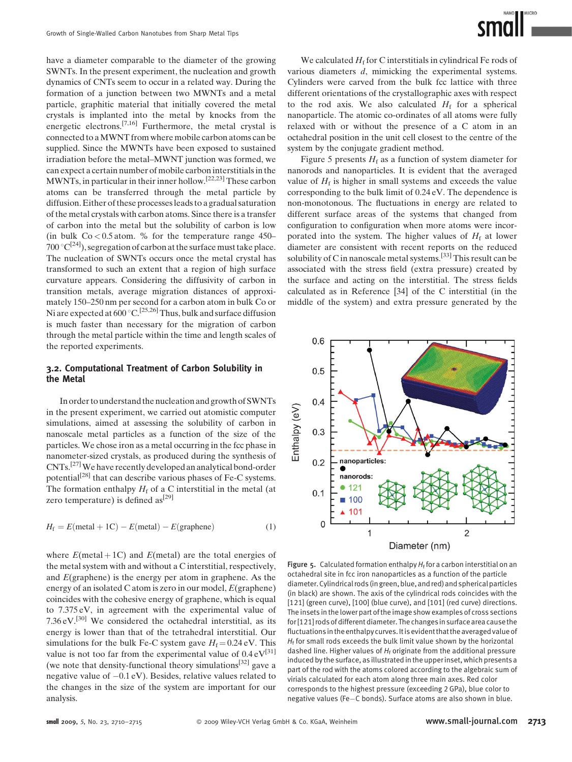have a diameter comparable to the diameter of the growing SWNTs. In the present experiment, the nucleation and growth dynamics of CNTs seem to occur in a related way. During the formation of a junction between two MWNTs and a metal particle, graphitic material that initially covered the metal crystals is implanted into the metal by knocks from the energetic electrons.<sup>[7,16]</sup> Furthermore, the metal crystal is connected to aMWNT from where mobile carbon atoms can be supplied. Since the MWNTs have been exposed to sustained irradiation before the metal–MWNT junction was formed, we can expect a certain number of mobile carbon interstitials in the MWNTs, in particular in their inner hollow.[22,23] These carbon atoms can be transferred through the metal particle by diffusion. Either of these processes leads to a gradual saturation of the metal crystals with carbon atoms. Since there is a transfer of carbon into the metal but the solubility of carbon is low (in bulk  $Co < 0.5$  atom. % for the temperature range 450–  $700\degree C^{[24]}$ ), segregation of carbon at the surface must take place. The nucleation of SWNTs occurs once the metal crystal has transformed to such an extent that a region of high surface curvature appears. Considering the diffusivity of carbon in transition metals, average migration distances of approximately 150–250 nm per second for a carbon atom in bulk Co or Ni are expected at  $600^{\circ}$ C.<sup>[25,26]</sup> Thus, bulk and surface diffusion is much faster than necessary for the migration of carbon through the metal particle within the time and length scales of the reported experiments.

### 3.2. Computational Treatment of Carbon Solubility in the Metal

In order to understand the nucleation and growth of SWNTs in the present experiment, we carried out atomistic computer simulations, aimed at assessing the solubility of carbon in nanoscale metal particles as a function of the size of the particles. We chose iron as a metal occurring in the fcc phase in nanometer-sized crystals, as produced during the synthesis of  $CNTs.$ <sup>[27]</sup> We have recently developed an analytical bond-order potential<sup>[28]</sup> that can describe various phases of Fe-C systems. The formation enthalpy  $H_f$  of a C interstitial in the metal (at zero temperature) is defined as $^{[29]}$ 

$$
H_{\rm f} = E(\text{metal} + 1\text{C}) - E(\text{metal}) - E(\text{graphene})
$$
 (1)

where  $E(\text{metal} + 1C)$  and  $E(\text{metal})$  are the total energies of the metal system with and without a C interstitial, respectively, and  $E$ (graphene) is the energy per atom in graphene. As the energy of an isolated C atom is zero in our model, E(graphene) coincides with the cohesive energy of graphene, which is equal to 7.375 eV, in agreement with the experimental value of  $7.36 \text{ eV}$ .<sup>[30]</sup> We considered the octahedral interstitial, as its energy is lower than that of the tetrahedral interstitial. Our simulations for the bulk Fe-C system gave  $H_f = 0.24$  eV. This value is not too far from the experimental value of  $0.4 \text{ eV}^{[31]}$ (we note that density-functional theory simulations<sup>[32]</sup> gave a negative value of  $-0.1$  eV). Besides, relative values related to the changes in the size of the system are important for our analysis.

We calculated  $H_f$  for C interstitials in cylindrical Fe rods of various diameters d, mimicking the experimental systems. Cylinders were carved from the bulk fcc lattice with three different orientations of the crystallographic axes with respect to the rod axis. We also calculated  $H_f$  for a spherical nanoparticle. The atomic co-ordinates of all atoms were fully relaxed with or without the presence of a C atom in an octahedral position in the unit cell closest to the centre of the system by the conjugate gradient method.

Figure 5 presents  $H_f$  as a function of system diameter for nanorods and nanoparticles. It is evident that the averaged value of  $H_f$  is higher in small systems and exceeds the value corresponding to the bulk limit of 0.24 eV. The dependence is non-monotonous. The fluctuations in energy are related to different surface areas of the systems that changed from configuration to configuration when more atoms were incorporated into the system. The higher values of  $H_f$  at lower diameter are consistent with recent reports on the reduced solubility of C in nanoscale metal systems.<sup>[33]</sup> This result can be associated with the stress field (extra pressure) created by the surface and acting on the interstitial. The stress fields calculated as in Reference [34] of the C interstitial (in the middle of the system) and extra pressure generated by the



Figure 5. Calculated formation enthalpy  $H_f$  for a carbon interstitial on an octahedral site in fcc iron nanoparticles as a function of the particle diameter. Cylindrical rods (in green, blue, and red) and spherical particles (in black) are shown. The axis of the cylindrical rods coincides with the [121] (green curve), [100] (blue curve), and [101] (red curve) directions. The insets in the lower part of the image show examples of cross sections for [121] rods of different diameter. The changesin surface area cause the fluctuations in the enthalpy curves. It is evident that the averaged value of  $H_f$  for small rods exceeds the bulk limit value shown by the horizontal dashed line. Higher values of  $H_f$  originate from the additional pressure induced by the surface, as illustrated in the upper inset, which presents a part of the rod with the atoms colored according to the algebraic sum of virials calculated for each atom along three main axes. Red color corresponds to the highest pressure (exceeding 2 GPa), blue color to negative values (Fe-C bonds). Surface atoms are also shown in blue.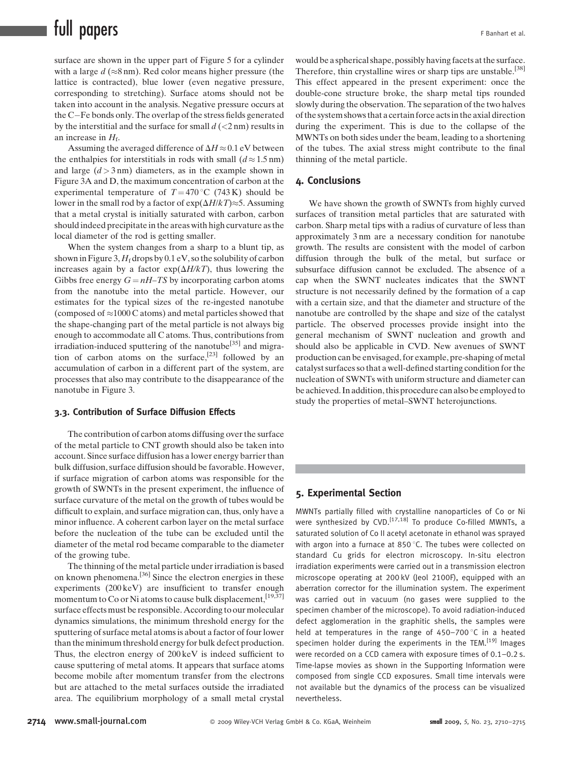# full papers F Banhart et al.

surface are shown in the upper part of Figure 5 for a cylinder with a large  $d \approx 8 \text{ nm}$ ). Red color means higher pressure (the lattice is contracted), blue lower (even negative pressure, corresponding to stretching). Surface atoms should not be taken into account in the analysis. Negative pressure occurs at the C-Fe bonds only. The overlap of the stress fields generated by the interstitial and the surface for small  $d \approx 2 \text{ nm}$ ) results in an increase in  $H_{\epsilon}$ .

Assuming the averaged difference of  $\Delta H \approx 0.1$  eV between the enthalpies for interstitials in rods with small  $(d \approx 1.5 \text{ nm})$ and large  $(d > 3$  nm) diameters, as in the example shown in Figure 3A and D, the maximum concentration of carbon at the experimental temperature of  $T = 470 \degree C$  (743 K) should be lower in the small rod by a factor of  $\exp(\Delta H/kT) \approx 5$ . Assuming that a metal crystal is initially saturated with carbon, carbon should indeed precipitate in the areas with high curvature as the local diameter of the rod is getting smaller.

When the system changes from a sharp to a blunt tip, as shown in Figure 3,  $H_f$  drops by 0.1 eV, so the solubility of carbon increases again by a factor  $exp(\Delta H/kT)$ , thus lowering the Gibbs free energy  $G = nH - TS$  by incorporating carbon atoms from the nanotube into the metal particle. However, our estimates for the typical sizes of the re-ingested nanotube (composed of  $\approx$ 1000 C atoms) and metal particles showed that the shape-changing part of the metal particle is not always big enough to accommodate all C atoms. Thus, contributions from irradiation-induced sputtering of the nanotube<sup>[35]</sup> and migration of carbon atoms on the surface,<sup>[23]</sup> followed by an accumulation of carbon in a different part of the system, are processes that also may contribute to the disappearance of the nanotube in Figure 3.

#### 3.3. Contribution of Surface Diffusion Effects

The contribution of carbon atoms diffusing over the surface of the metal particle to CNT growth should also be taken into account. Since surface diffusion has a lower energy barrier than bulk diffusion, surface diffusion should be favorable. However, if surface migration of carbon atoms was responsible for the growth of SWNTs in the present experiment, the influence of surface curvature of the metal on the growth of tubes would be difficult to explain, and surface migration can, thus, only have a minor influence. A coherent carbon layer on the metal surface before the nucleation of the tube can be excluded until the diameter of the metal rod became comparable to the diameter of the growing tube.

The thinning of the metal particle under irradiation is based on known phenomena.[36] Since the electron energies in these experiments (200 keV) are insufficient to transfer enough momentum to Co or Ni atoms to cause bulk displacement, [19,37] surface effects must be responsible. According to our molecular dynamics simulations, the minimum threshold energy for the sputtering of surface metal atoms is about a factor of four lower than the minimum threshold energy for bulk defect production. Thus, the electron energy of 200 keV is indeed sufficient to cause sputtering of metal atoms. It appears that surface atoms become mobile after momentum transfer from the electrons but are attached to the metal surfaces outside the irradiated area. The equilibrium morphology of a small metal crystal

would be a spherical shape, possibly having facets at the surface. Therefore, thin crystalline wires or sharp tips are unstable.<sup>[38]</sup> This effect appeared in the present experiment: once the double-cone structure broke, the sharp metal tips rounded slowly during the observation. The separation of the two halves of the system shows that a certain force actsin the axial direction during the experiment. This is due to the collapse of the MWNTs on both sides under the beam, leading to a shortening of the tubes. The axial stress might contribute to the final thinning of the metal particle.

## 4. Conclusions

We have shown the growth of SWNTs from highly curved surfaces of transition metal particles that are saturated with carbon. Sharp metal tips with a radius of curvature of less than approximately 3 nm are a necessary condition for nanotube growth. The results are consistent with the model of carbon diffusion through the bulk of the metal, but surface or subsurface diffusion cannot be excluded. The absence of a cap when the SWNT nucleates indicates that the SWNT structure is not necessarily defined by the formation of a cap with a certain size, and that the diameter and structure of the nanotube are controlled by the shape and size of the catalyst particle. The observed processes provide insight into the general mechanism of SWNT nucleation and growth and should also be applicable in CVD. New avenues of SWNT production can be envisaged, for example, pre-shaping of metal catalyst surfaces so that a well-defined starting condition for the nucleation of SWNTs with uniform structure and diameter can be achieved. In addition, this procedure can also be employed to study the properties of metal–SWNT heterojunctions.

# 5. Experimental Section

MWNTs partially filled with crystalline nanoparticles of Co or Ni were synthesized by  $CVD$ .<sup>[17,18]</sup> To produce Co-filled MWNTs, a saturated solution of Co II acetyl acetonate in ethanol was sprayed with argon into a furnace at 850 $\degree$ C. The tubes were collected on standard Cu grids for electron microscopy. In-situ electron irradiation experiments were carried out in a transmission electron microscope operating at 200 kV (Jeol 2100F), equipped with an aberration corrector for the illumination system. The experiment was carried out in vacuum (no gases were supplied to the specimen chamber of the microscope). To avoid radiation-induced defect agglomeration in the graphitic shells, the samples were held at temperatures in the range of  $450-700^{\circ}$ C in a heated specimen holder during the experiments in the TEM.<sup>[19]</sup> Images were recorded on a CCD camera with exposure times of 0.1–0.2 s. Time-lapse movies as shown in the Supporting Information were composed from single CCD exposures. Small time intervals were not available but the dynamics of the process can be visualized nevertheless.